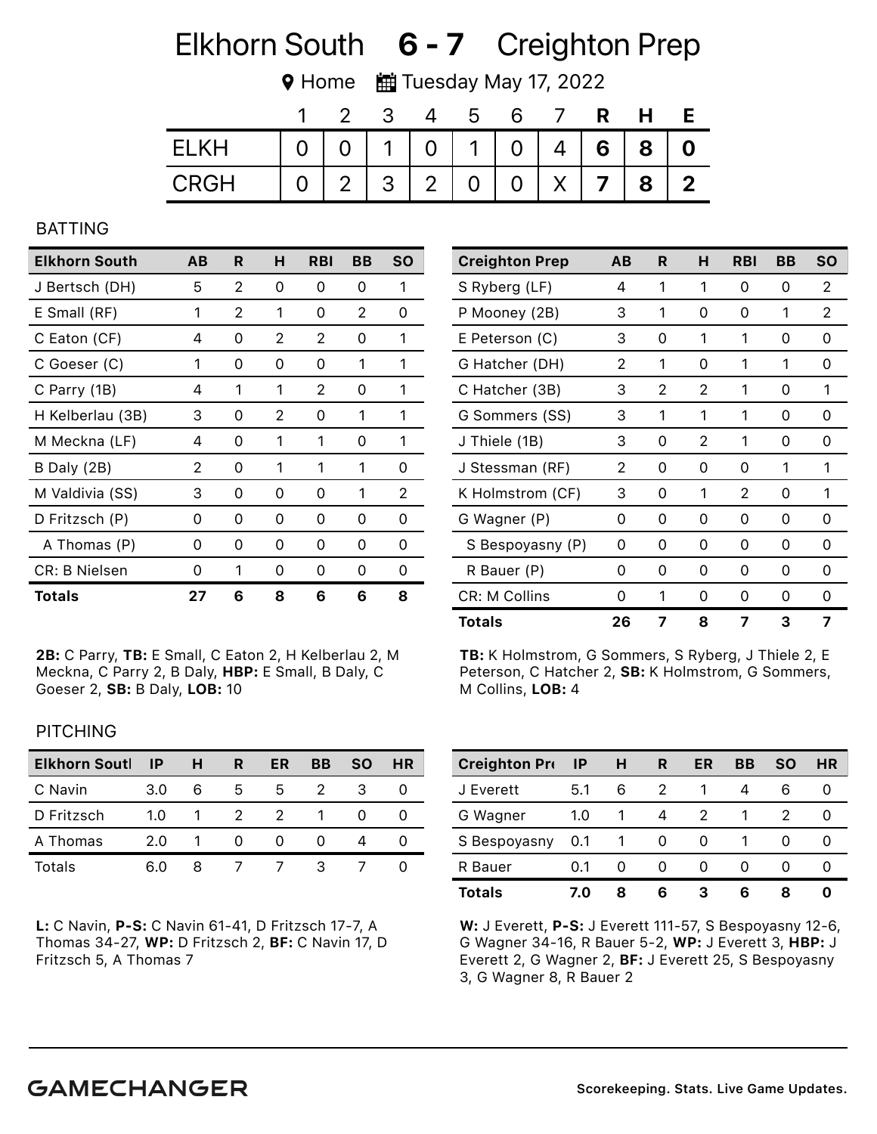## Elkhorn South 6 - 7 Creighton Prep

**♥ Home ■ Tuesday May 17, 2022** 

|       |  | - 3 | 5                                     |  | <b>R</b> | H                             |                         |
|-------|--|-----|---------------------------------------|--|----------|-------------------------------|-------------------------|
| FI KH |  |     | 0   0   1   0   1   0   4   6   8   0 |  |          |                               |                         |
| CRGH  |  |     | 0   2   3   2   0                     |  |          | $0 \mid X \mid 7 \mid 8 \mid$ | $\overline{\mathbf{2}}$ |

#### BATTING

| <b>Elkhorn South</b> | AB | R        | н | <b>RBI</b> | BВ            | <b>SO</b>     |
|----------------------|----|----------|---|------------|---------------|---------------|
| J Bertsch (DH)       | 5  | 2        | 0 | 0          | 0             | 1             |
| E Small (RF)         | 1  | 2        | 1 | 0          | 2             | 0             |
| C Eaton (CF)         | 4  | 0        | 2 | 2          | 0             | 1             |
| C Goeser (C)         | 1  | 0        | 0 | 0          | 1             | 1             |
| C Parry (1B)         | 4  | 1        | 1 | 2          | 0             | 1             |
| H Kelberlau (3B)     | 3  | $\Omega$ | 2 | 0          | 1             | 1             |
| M Meckna (LF)        | 4  | 0        | 1 | 1          | 0             | 1             |
| B Daly (2B)          | 2  | 0        | 1 | 1          | 1             | 0             |
| M Valdivia (SS)      | 3  | 0        | 0 | Ω          | 1             | 2             |
| D Fritzsch (P)       | 0  | 0        | 0 | 0          | 0             | 0             |
| A Thomas (P)         | 0  | 0        | 0 | 0          | 0             | 0             |
| <b>CR: B Nielsen</b> | 0  | 1        | 0 | Ω          | $\mathcal{L}$ | $\mathcal{L}$ |
| <b>Totals</b>        | 27 | 6        | 8 | 6          | 6             | 8             |

2B: C Parry, TB: E Small, C Eaton 2, H Kelberlau 2, M Meckna, C Parry 2, B Daly, HBP: E Small, B Daly, C Goeser 2, SB: B Daly, LOB: 10

| <b>Creighton Prep</b> | AВ | R | н | <b>RBI</b> | BB | <b>SO</b> |
|-----------------------|----|---|---|------------|----|-----------|
| S Ryberg (LF)         | 4  | 1 | 1 | 0          | 0  | 2         |
| P Mooney (2B)         | 3  | 1 | 0 | 0          | 1  | 2         |
| E Peterson (C)        | 3  | 0 | 1 | 1          | 0  | 0         |
| G Hatcher (DH)        | 2  | 1 | 0 | 1          | 1  | 0         |
| C Hatcher (3B)        | 3  | 2 | 2 | 1          | 0  | 1         |
| G Sommers (SS)        | 3  | 1 | 1 | 1          | 0  | 0         |
| J Thiele (1B)         | 3  | 0 | 2 | 1          | 0  | 0         |
| J Stessman (RF)       | 2  | 0 | 0 | 0          | 1  | 1         |
| K Holmstrom (CF)      | 3  | 0 | 1 | 2          | 0  | 1         |
| G Wagner (P)          | 0  | 0 | 0 | 0          | 0  | 0         |
| S Bespoyasny (P)      | 0  | 0 | 0 | 0          | 0  | 0         |
| R Bauer (P)           | 0  | 0 | 0 | 0          | 0  | 0         |
| CR: M Collins         | 0  | 1 | 0 | Ω          | 0  | 0         |
| <b>Totals</b>         | 26 | 7 | 8 | 7          | 3  | 7         |

TB: K Holmstrom, G Sommers, S Ryberg, J Thiele 2, E Peterson, C Hatcher 2, SB: K Holmstrom, G Sommers, M Collins, LOB: 4

## **PITCHING**

| <b>Elkhorn Soutl</b> | <b>IP</b> | Н | R | ER | BB | <b>SO</b> | <b>HR</b> |
|----------------------|-----------|---|---|----|----|-----------|-----------|
| C Navin              | 3.0       | 6 | 5 | 5. |    | 3         |           |
| D Fritzsch           | 1.0       |   |   |    |    |           |           |
| A Thomas             | 2.0       |   |   |    |    |           |           |
| Totals               | 6.0       | x |   |    |    |           |           |

L: C Navin, P-S: C Navin 61-41, D Fritzsch 17-7, A Thomas 34-27, WP: D Fritzsch 2, BF: C Navin 17, D Fritzsch 5, A Thomas 7

| <b>Creighton Pro</b> | -IP | н | R        | ER           | BВ | <b>SO</b> | HR |
|----------------------|-----|---|----------|--------------|----|-----------|----|
| J Everett            | 5.1 | 6 |          |              |    | 6         |    |
| G Wagner             | 1.0 |   | 4        |              |    |           |    |
| S Bespoyasny         | 0.1 |   | $\Omega$ | $\mathbf{O}$ |    | $^{(1)}$  |    |
| R Bauer              | 0.1 | O |          |              |    |           |    |
| <b>Totals</b>        | 7.0 | 8 | 6        | З            | 6  | 8         |    |

W: J Everett, P-S: J Everett 111-57, S Bespoyasny 12-6, G Wagner 34-16, R Bauer 5-2, WP: J Everett 3, HBP: J Everett 2, G Wagner 2, BF: J Everett 25, S Bespoyasny 3, G Wagner 8, R Bauer 2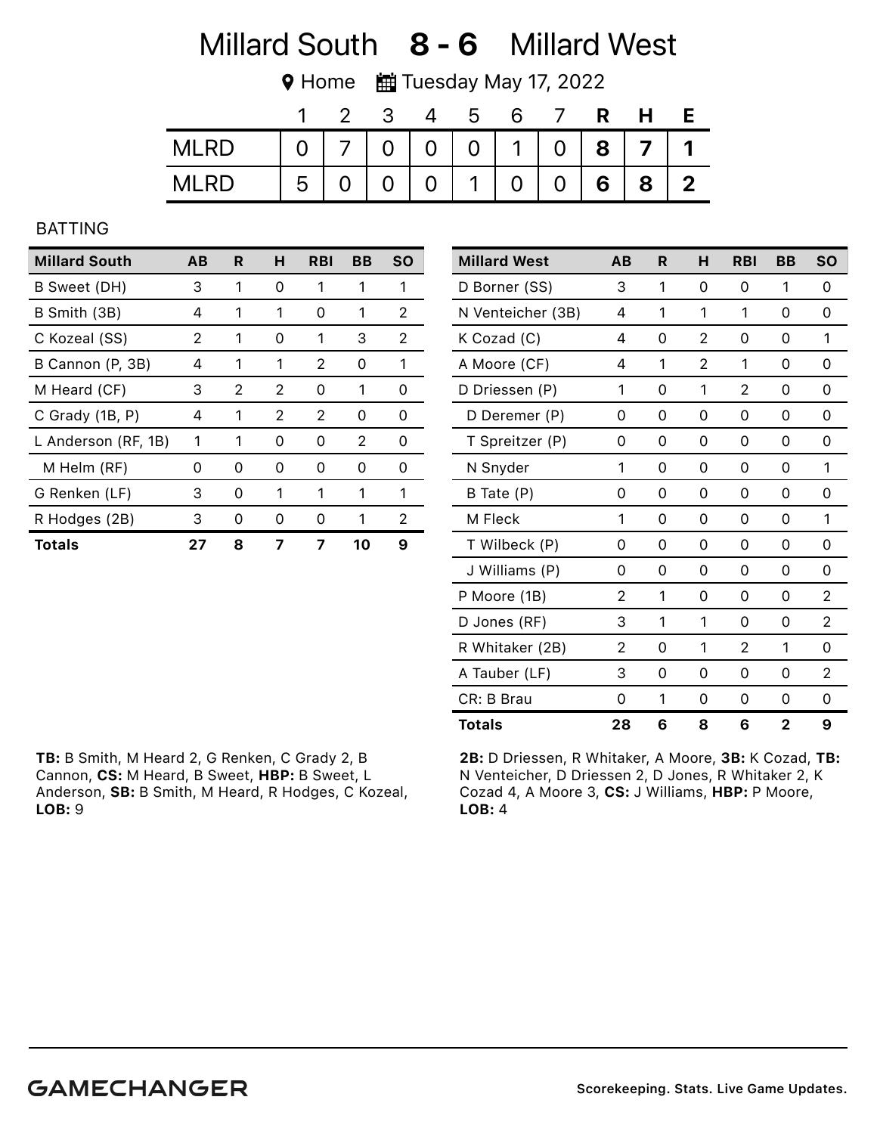## Millard South 8 - 6 Millard West

**♥ Home ■ Tuesday May 17, 2022** 

|             |   |     | - 3            |                | - b                               |   |   | R | H |             |
|-------------|---|-----|----------------|----------------|-----------------------------------|---|---|---|---|-------------|
| <b>MLRD</b> |   |     |                |                | 0   7   0   0   0   1   0   8   7 |   |   |   |   |             |
| MI RD       | 5 | ∩ ∶ | $\overline{0}$ | 0 <sup>1</sup> | $\mathbf 1$                       | 0 | 0 | 6 | 8 | $\mathbf 2$ |

## BATTING

| <b>Millard South</b> | AВ | R | н | <b>RBI</b> | BВ | <b>SO</b> |
|----------------------|----|---|---|------------|----|-----------|
| B Sweet (DH)         | 3  | 1 | 0 |            |    | 1         |
| B Smith (3B)         | 4  | 1 | 1 | O          | 1  | 2         |
| C Kozeal (SS)        | 2  | 1 | 0 | 1          | 3  | 2         |
| B Cannon (P, 3B)     | 4  | 1 | 1 | 2          | ი  | 1         |
| M Heard (CF)         | 3  | 2 | 2 | O          |    | O         |
| C Grady (1B, P)      | 4  | 1 | 2 | 2          | 0  | O         |
| L Anderson (RF, 1B)  | 1  | 1 | 0 | 0          | 2  | 0         |
| M Helm (RF)          | Ω  | 0 | 0 | Ω          | O  | Ω         |
| G Renken (LF)        | 3  | 0 | 1 | 1          | 1  | 1         |
| R Hodges (2B)        | 3  | O | 0 | O          |    | 2         |
| Totals               | 27 | 8 |   |            | 10 | 9         |

| <b>Millard West</b> | AB | R | н | <b>RBI</b>     | BB           | <b>SO</b>      |
|---------------------|----|---|---|----------------|--------------|----------------|
| D Borner (SS)       | 3  | 1 | 0 | 0              | 1            | 0              |
| N Venteicher (3B)   | 4  | 1 | 1 | 1              | 0            | 0              |
| K Cozad (C)         | 4  | 0 | 2 | 0              | 0            | 1              |
| A Moore (CF)        | 4  | 1 | 2 | 1              | 0            | 0              |
| D Driessen (P)      | 1  | 0 | 1 | $\overline{2}$ | 0            | 0              |
| D Deremer (P)       | 0  | 0 | 0 | 0              | 0            | 0              |
| T Spreitzer (P)     | 0  | 0 | 0 | 0              | 0            | 0              |
| N Snyder            | 1  | 0 | 0 | 0              | 0            | 1              |
| B Tate (P)          | 0  | 0 | 0 | 0              | 0            | 0              |
| M Fleck             | 1  | 0 | 0 | 0              | 0            | 1              |
| T Wilbeck (P)       | 0  | 0 | 0 | 0              | 0            | 0              |
| J Williams (P)      | 0  | 0 | 0 | 0              | 0            | 0              |
| P Moore (1B)        | 2  | 1 | 0 | 0              | 0            | 2              |
| D Jones (RF)        | 3  | 1 | 1 | 0              | 0            | $\overline{2}$ |
| R Whitaker (2B)     | 2  | 0 | 1 | 2              | 1            | 0              |
| A Tauber (LF)       | 3  | 0 | 0 | 0              | 0            | 2              |
| CR: B Brau          | 0  | 1 | 0 | 0              | 0            | 0              |
| <b>Totals</b>       | 28 | 6 | 8 | 6              | $\mathbf{2}$ | 9              |

TB: B Smith, M Heard 2, G Renken, C Grady 2, B Cannon, CS: M Heard, B Sweet, HBP: B Sweet, L Anderson, SB: B Smith, M Heard, R Hodges, C Kozeal, LOB: 9

2B: D Driessen, R Whitaker, A Moore, 3B: K Cozad, TB: N Venteicher, D Driessen 2, D Jones, R Whitaker 2, K Cozad 4, A Moore 3, CS: J Williams, HBP: P Moore, LOB: 4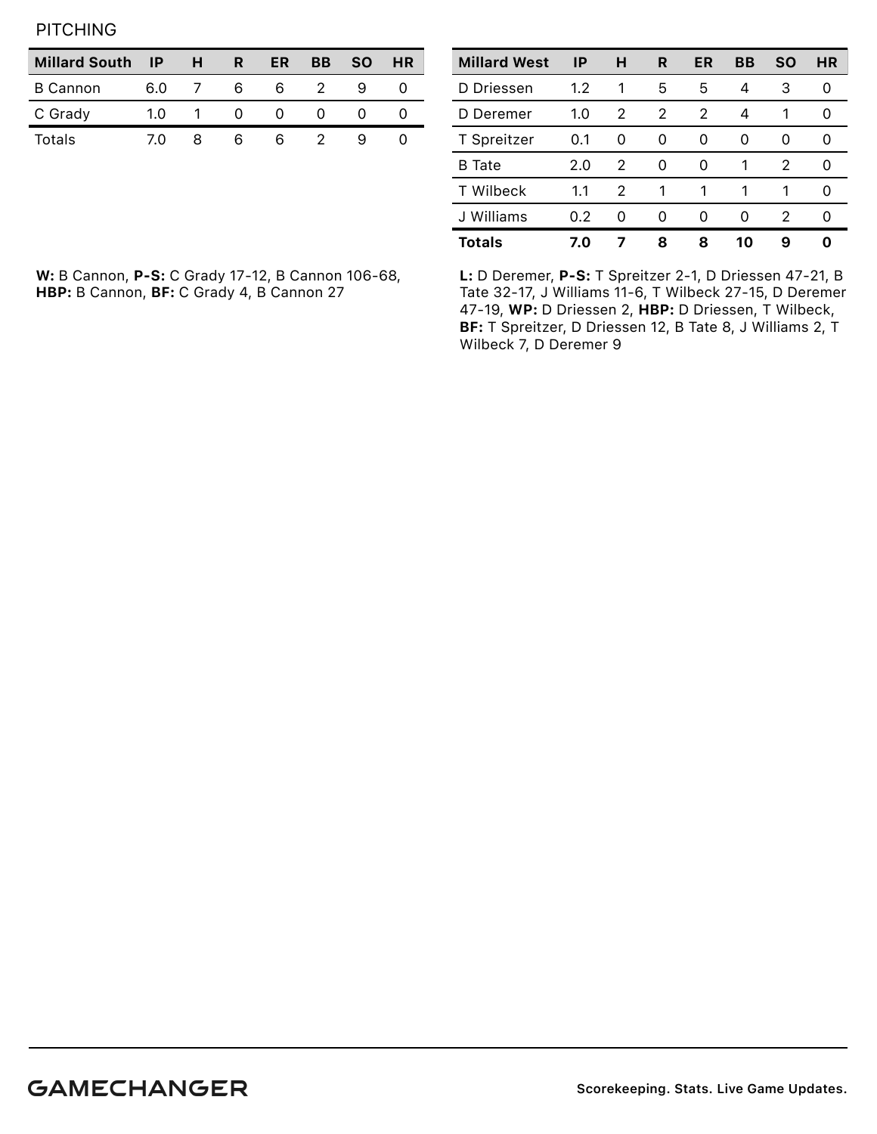**PITCHING** 

| <b>Millard South</b> | ΙP   | н | R | ER | ВB | <b>SO</b> | HR |
|----------------------|------|---|---|----|----|-----------|----|
| <b>B</b> Cannon      | 6.0  |   | h | h  |    |           |    |
| C Grady              | 1.0. |   |   |    |    |           |    |
| Totals               | 70   |   |   | h  |    |           |    |

| <b>Millard West</b> | IP  | н | R | ER | BB | <b>SO</b> | <b>HR</b> |
|---------------------|-----|---|---|----|----|-----------|-----------|
| D Driessen          | 1.2 | 1 | 5 | 5  | 4  | 3         | 0         |
| D Deremer           | 1.0 | 2 | 2 | 2  | 4  | 1         | Ω         |
| T Spreitzer         | 0.1 | 0 | 0 | 0  | 0  | 0         | 0         |
| <b>B</b> Tate       | 2.0 | 2 | O | 0  | 1  | 2         | Ω         |
| <b>T</b> Wilbeck    | 1.1 | 2 | 1 | 1  | 1  | 1         | Ω         |
| J Williams          | 0.2 | 0 | O | O  | 0  | 2         | 0         |
| <b>Totals</b>       | 7.0 |   | 8 | ឧ  | 10 | 9         | Ω         |

W: B Cannon, P-S: C Grady 17-12, B Cannon 106-68, HBP: B Cannon, BF: C Grady 4, B Cannon 27

L: D Deremer, P-S: T Spreitzer 2-1, D Driessen 47-21, B Tate 32-17, J Williams 11-6, T Wilbeck 27-15, D Deremer 47-19, WP: D Driessen 2, HBP: D Driessen, T Wilbeck, BF: T Spreitzer, D Driessen 12, B Tate 8, J Williams 2, T Wilbeck 7, D Deremer 9